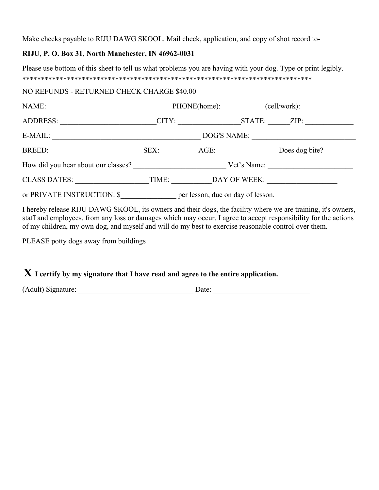Make checks payable to RIJU DAWG SKOOL. Mail check, application, and copy of shot record to-

#### **RIJU**, **P. O. Box 31**, **North Manchester, IN 46962-0031**

Please use bottom of this sheet to tell us what problems you are having with your dog. Type or print legibly. \*\*\*\*\*\*\*\*\*\*\*\*\*\*\*\*\*\*\*\*\*\*\*\*\*\*\*\*\*\*\*\*\*\*\*\*\*\*\*\*\*\*\*\*\*\*\*\*\*\*\*\*\*\*\*\*\*\*\*\*\*\*\*\*\*\*\*\*\*\*\*\*\*\*\*\*\*\*

#### NO REFUNDS - RETURNED CHECK CHARGE \$40.00

| NAME:                               |                                                                                 |           |             | PHONE(home): (cell/work): |
|-------------------------------------|---------------------------------------------------------------------------------|-----------|-------------|---------------------------|
| <b>ADDRESS:</b>                     |                                                                                 | CITY:     |             | STATE: ZIP:               |
| E-MAIL:                             | DOG'S NAME:                                                                     |           |             |                           |
| BREED:                              |                                                                                 | SEX: AGE: |             | Does dog bite?            |
| How did you hear about our classes? |                                                                                 |           | Vet's Name: |                           |
| <b>CLASS DATES:</b>                 | TIME:                                                                           |           |             | DAY OF WEEK:              |
|                                     | or PRIVATE INSTRUCTION: \$___________________ per lesson, due on day of lesson. |           |             |                           |

I hereby release RIJU DAWG SKOOL, its owners and their dogs, the facility where we are training, it's owners, staff and employees, from any loss or damages which may occur. I agree to accept responsibility for the actions of my children, my own dog, and myself and will do my best to exercise reasonable control over them.

PLEASE potty dogs away from buildings

# **X I certify by my signature that I have read and agree to the entire application.**

(Adult) Signature: \_\_\_\_\_\_\_\_\_\_\_\_\_\_\_\_\_\_\_\_\_\_\_\_\_\_\_\_\_\_\_ Date: \_\_\_\_\_\_\_\_\_\_\_\_\_\_\_\_\_\_\_\_\_\_\_\_\_\_